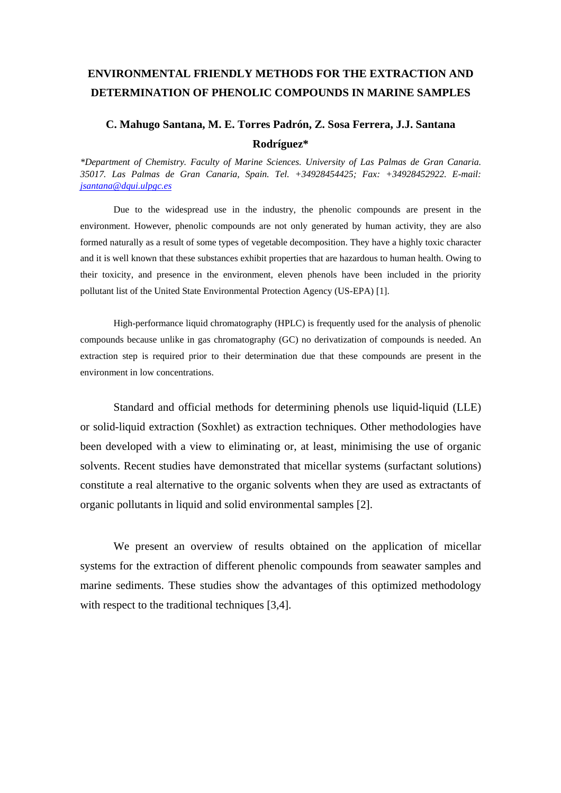## **ENVIRONMENTAL FRIENDLY METHODS FOR THE EXTRACTION AND DETERMINATION OF PHENOLIC COMPOUNDS IN MARINE SAMPLES**

## **C. Mahugo Santana, M. E. Torres Padrón, Z. Sosa Ferrera, J.J. Santana Rodríguez\***

*\*Department of Chemistry. Faculty of Marine Sciences. University of Las Palmas de Gran Canaria. 35017. Las Palmas de Gran Canaria, Spain. Tel. +34928454425; Fax: +34928452922. E-mail: jsantana@dqui.ulpgc.es*

 Due to the widespread use in the industry, the phenolic compounds are present in the environment. However, phenolic compounds are not only generated by human activity, they are also formed naturally as a result of some types of vegetable decomposition. They have a highly toxic character and it is well known that these substances exhibit properties that are hazardous to human health. Owing to their toxicity, and presence in the environment, eleven phenols have been included in the priority pollutant list of the United State Environmental Protection Agency (US-EPA) [1].

High-performance liquid chromatography (HPLC) is frequently used for the analysis of phenolic compounds because unlike in gas chromatography (GC) no derivatization of compounds is needed. An extraction step is required prior to their determination due that these compounds are present in the environment in low concentrations.

Standard and official methods for determining phenols use liquid-liquid (LLE) or solid-liquid extraction (Soxhlet) as extraction techniques. Other methodologies have been developed with a view to eliminating or, at least, minimising the use of organic solvents. Recent studies have demonstrated that micellar systems (surfactant solutions) constitute a real alternative to the organic solvents when they are used as extractants of organic pollutants in liquid and solid environmental samples [2].

We present an overview of results obtained on the application of micellar systems for the extraction of different phenolic compounds from seawater samples and marine sediments. These studies show the advantages of this optimized methodology with respect to the traditional techniques [3,4].